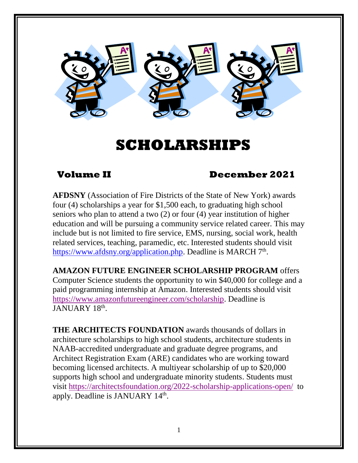

# **SCHOLARSHIPS**

# **Volume II December 2021**

**AFDSNY** (Association of Fire Districts of the State of New York) awards four (4) scholarships a year for \$1,500 each, to graduating high school seniors who plan to attend a two (2) or four (4) year institution of higher education and will be pursuing a community service related career. This may include but is not limited to fire service, EMS, nursing, social work, health related services, teaching, paramedic, etc. Interested students should visit [https://www.afdsny.org/application.php.](https://www.afdsny.org/application.php) Deadline is MARCH 7<sup>th</sup>.

**AMAZON FUTURE ENGINEER SCHOLARSHIP PROGRAM** offers Computer Science students the opportunity to win \$40,000 for college and a paid programming internship at Amazon. Interested students should visit [https://www.amazonfutureengineer.com/scholarship.](https://www.amazonfutureengineer.com/scholarship) Deadline is JANUARY 18<sup>th</sup>.

**THE ARCHITECTS FOUNDATION** awards thousands of dollars in architecture scholarships to high school students, architecture students in NAAB-accredited undergraduate and graduate degree programs, and Architect Registration Exam (ARE) candidates who are working toward becoming licensed architects. A multiyear scholarship of up to \$20,000 supports high school and undergraduate minority students. Students must visit<https://architectsfoundation.org/2022-scholarship-applications-open/> to apply. Deadline is JANUARY 14<sup>th</sup>.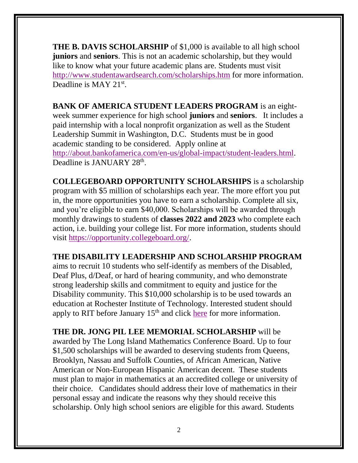**THE B. DAVIS SCHOLARSHIP** of \$1,000 is available to all high school **juniors** and **seniors**. This is not an academic scholarship, but they would like to know what your future academic plans are. Students must visit <http://www.studentawardsearch.com/scholarships.htm> for more information. Deadline is MAY 21<sup>st</sup>.

**BANK OF AMERICA STUDENT LEADERS PROGRAM** is an eightweek summer experience for high school **juniors** and **seniors**. It includes a paid internship with a local nonprofit organization as well as the Student Leadership Summit in Washington, D.C. Students must be in good academic standing to be considered. Apply online at [http://about.bankofamerica.com/en-us/global-impact/student-leaders.html.](http://about.bankofamerica.com/en-us/global-impact/student-leaders.html) Deadline is JANUARY 28<sup>th</sup>.

**COLLEGEBOARD OPPORTUNITY SCHOLARSHIPS** is a scholarship program with \$5 million of scholarships each year. The more effort you put in, the more opportunities you have to earn a scholarship. Complete all six, and you're eligible to earn \$40,000. Scholarships will be awarded through monthly drawings to students of **classes 2022 and 2023** who complete each action, i.e. building your college list. For more information, students should visit [https://opportunity.collegeboard.org/.](https://opportunity.collegeboard.org/)

#### **THE DISABILITY LEADERSHIP AND SCHOLARSHIP PROGRAM**

aims to recruit 10 students who self-identify as members of the Disabled, Deaf Plus, d/Deaf, or hard of hearing community, and who demonstrate strong leadership skills and commitment to equity and justice for the Disability community. This \$10,000 scholarship is to be used towards an education at Rochester Institute of Technology. Interested student should apply to RIT before January 15<sup>th</sup> and click [here](https://www.rit.edu/disabilityservices/disability-leadership-and-scholarship-program?utm_source=slate&utm_medium=email&utm_campaign=em-ugrd-schoolcounselor&utm_content=virtual-info-session) for more information.

**THE DR. JONG PIL LEE MEMORIAL SCHOLARSHIP** will be awarded by The Long Island Mathematics Conference Board. Up to four \$1,500 scholarships will be awarded to deserving students from Queens, Brooklyn, Nassau and Suffolk Counties, of African American, Native American or Non-European Hispanic American decent. These students must plan to major in mathematics at an accredited college or university of their choice. Candidates should address their love of mathematics in their personal essay and indicate the reasons why they should receive this scholarship. Only high school seniors are eligible for this award. Students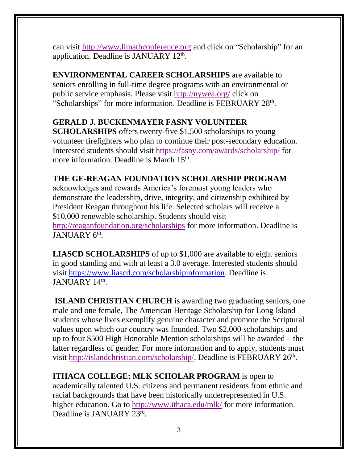can visit [http://www.limathconference.org](http://www.limathconference.org/) and click on "Scholarship" for an application. Deadline is JANUARY 12<sup>th</sup>.

**ENVIRONMENTAL CAREER SCHOLARSHIPS** are available to seniors enrolling in full-time degree programs with an environmental or public service emphasis. Please visit<http://nywea.org/> click on "Scholarships" for more information. Deadline is FEBRUARY 28th.

# **GERALD J. BUCKENMAYER FASNY VOLUNTEER**

**SCHOLARSHIPS** offers twenty-five \$1,500 scholarships to young volunteer firefighters who plan to continue their post-secondary education. Interested students should visit <https://fasny.com/awards/scholarship/> for more information. Deadline is March 15<sup>th</sup>.

### **THE GE-REAGAN FOUNDATION SCHOLARSHIP PROGRAM**

acknowledges and rewards America's foremost young leaders who demonstrate the leadership, drive, integrity, and citizenship exhibited by President Reagan throughout his life. Selected scholars will receive a \$10,000 renewable scholarship. Students should visit <http://reaganfoundation.org/scholarships> for more information. Deadline is JANUARY 6<sup>th</sup>.

**LIASCD SCHOLARSHIPS** of up to \$1,000 are available to eight seniors in good standing and with at least a 3.0 average. Interested students should visit [https://www.liascd.com/scholarshipinformation.](https://www.liascd.com/scholarshipinformation) Deadline is JANUARY 14<sup>th</sup>.

**ISLAND CHRISTIAN CHURCH** is awarding two graduating seniors, one male and one female, The American Heritage Scholarship for Long Island students whose lives exemplify genuine character and promote the Scriptural values upon which our country was founded. Two \$2,000 scholarships and up to four \$500 High Honorable Mention scholarships will be awarded – the latter regardless of gender. For more information and to apply, students must visit [http://islandchristian.com/scholarship/.](http://islandchristian.com/scholarship/) Deadline is FEBRUARY 26<sup>th</sup>.

**ITHACA COLLEGE: MLK SCHOLAR PROGRAM** is open to academically talented U.S. citizens and permanent residents from ethnic and racial backgrounds that have been historically underrepresented in U.S. higher education. Go to<http://www.ithaca.edu/mlk/> for more information. Deadline is JANUARY 23rd.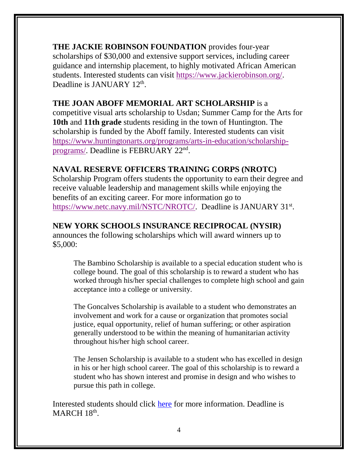**THE JACKIE ROBINSON FOUNDATION** provides four-year scholarships of \$30,000 and extensive support services, including career guidance and internship placement, to highly motivated African American students. Interested students can visit [https://www.jackierobinson.org/.](https://www.jackierobinson.org/) Deadline is JANUARY 12<sup>th</sup>.

#### **THE JOAN ABOFF MEMORIAL ART SCHOLARSHIP** is a

competitive visual arts scholarship to Usdan; Summer Camp for the Arts for **10th** and **11th grade** students residing in the town of Huntington. The scholarship is funded by the Aboff family. Interested students can visit [https://www.huntingtonarts.org/programs/arts-in-education/scholarship](https://www.huntingtonarts.org/programs/arts-in-education/scholarship-programs/)[programs/.](https://www.huntingtonarts.org/programs/arts-in-education/scholarship-programs/) Deadline is FEBRUARY 22<sup>nd</sup>.

### **NAVAL RESERVE OFFICERS TRAINING CORPS (NROTC)**

Scholarship Program offers students the opportunity to earn their degree and receive valuable leadership and management skills while enjoying the benefits of an exciting career. For more information go to [https://www.netc.navy.mil/NSTC/NROTC/.](https://www.netc.navy.mil/NSTC/NROTC/) Deadline is JANUARY 31<sup>st</sup>.

### **NEW YORK SCHOOLS INSURANCE RECIPROCAL (NYSIR)**

announces the following scholarships which will award winners up to \$5,000:

The Bambino Scholarship is available to a special education student who is college bound. The goal of this scholarship is to reward a student who has worked through his/her special challenges to complete high school and gain acceptance into a college or university.

The Goncalves Scholarship is available to a student who demonstrates an involvement and work for a cause or organization that promotes social justice, equal opportunity, relief of human suffering; or other aspiration generally understood to be within the meaning of humanitarian activity throughout his/her high school career.

The Jensen Scholarship is available to a student who has excelled in design in his or her high school career. The goal of this scholarship is to reward a student who has shown interest and promise in design and who wishes to pursue this path in college.

Interested students should click [here](https://drive.google.com/file/d/1G1Jx9C0Q2pUp2Od1h3QNCuModaGHqM6B/view?usp=sharing) for more information. Deadline is MARCH 18<sup>th</sup>.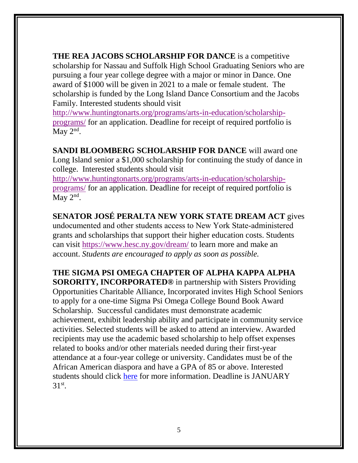**THE REA JACOBS SCHOLARSHIP FOR DANCE** is a competitive scholarship for Nassau and Suffolk High School Graduating Seniors who are pursuing a four year college degree with a major or minor in Dance. One award of \$1000 will be given in 2021 to a male or female student. The scholarship is funded by the Long Island Dance Consortium and the Jacobs Family. Interested students should visit

[http://www.huntingtonarts.org/programs/arts-in-education/scholarship](http://www.huntingtonarts.org/programs/arts-in-education/scholarship-programs/)[programs/](http://www.huntingtonarts.org/programs/arts-in-education/scholarship-programs/) for an application. Deadline for receipt of required portfolio is May  $2<sup>nd</sup>$ .

**SANDI BLOOMBERG SCHOLARSHIP FOR DANCE** will award one Long Island senior a \$1,000 scholarship for continuing the study of dance in college. Interested students should visit

[http://www.huntingtonarts.org/programs/arts-in-education/scholarship](http://www.huntingtonarts.org/programs/arts-in-education/scholarship-programs/)[programs/](http://www.huntingtonarts.org/programs/arts-in-education/scholarship-programs/) for an application. Deadline for receipt of required portfolio is May  $2<sup>nd</sup>$ .

**SENATOR JOSÉ PERALTA NEW YORK STATE DREAM ACT** gives undocumented and other students access to New York State‐administered grants and scholarships that support their higher education costs. Students can visit<https://www.hesc.ny.gov/dream/> to learn more and make an account. *Students are encouraged to apply as soon as possible.*

**THE SIGMA PSI OMEGA CHAPTER OF ALPHA KAPPA ALPHA** 

**SORORITY, INCORPORATED®** in partnership with Sisters Providing Opportunities Charitable Alliance, Incorporated invites High School Seniors to apply for a one-time Sigma Psi Omega College Bound Book Award Scholarship. Successful candidates must demonstrate academic achievement, exhibit leadership ability and participate in community service activities. Selected students will be asked to attend an interview. Awarded recipients may use the academic based scholarship to help offset expenses related to books and/or other materials needed during their first-year attendance at a four-year college or university. Candidates must be of the African American diaspora and have a GPA of 85 or above. Interested students should click [here](https://drive.google.com/file/d/1t4sg2uj4Bmmn83iRKhAjwW0fSOXOmqWq/view?usp=sharing) for more information. Deadline is JANUARY 31<sup>st</sup>.